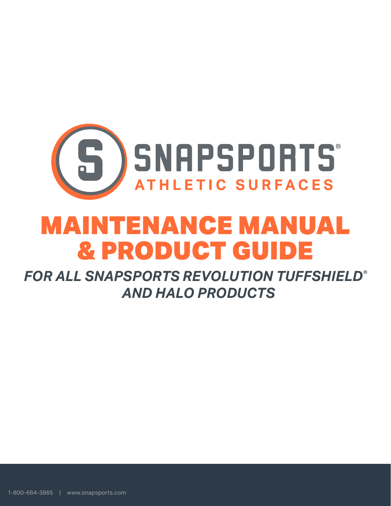

# MAINTENANCE MANUAL & PRODUCT GUIDE

*FOR ALL SNAPSPORTS REVOLUTION TUFFSHIELD® AND HALO PRODUCTS*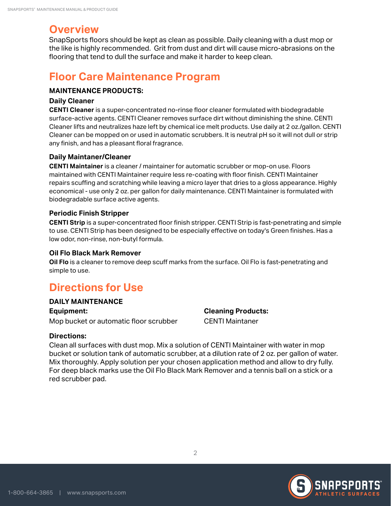# **Overview**

SnapSports floors should be kept as clean as possible. Daily cleaning with a dust mop or the like is highly recommended. Grit from dust and dirt will cause micro-abrasions on the flooring that tend to dull the surface and make it harder to keep clean.

# **Floor Care Maintenance Program**

## **MAINTENANCE PRODUCTS:**

#### **Daily Cleaner**

**CENTI Cleaner** is a super-concentrated no-rinse floor cleaner formulated with biodegradable surface-active agents. CENTI Cleaner removes surface dirt without diminishing the shine. CENTI Cleaner lifts and neutralizes haze left by chemical ice melt products. Use daily at 2 oz./gallon. CENTI Cleaner can be mopped on or used in automatic scrubbers. It is neutral pH so it will not dull or strip any finish, and has a pleasant floral fragrance.

## **Daily Maintaner/Cleaner**

**CENTI Maintainer** is a cleaner / maintainer for automatic scrubber or mop-on use. Floors maintained with CENTI Maintainer require less re-coating with floor finish. CENTI Maintainer repairs scuffing and scratching while leaving a micro layer that dries to a gloss appearance. Highly economical - use only 2 oz. per gallon for daily maintenance. CENTI Maintainer is formulated with biodegradable surface active agents.

## **Periodic Finish Stripper**

**CENTI Strip** is a super-concentrated floor finish stripper. CENTI Strip is fast-penetrating and simple to use. CENTI Strip has been designed to be especially effective on today's Green finishes. Has a low odor, non-rinse, non-butyl formula.

## **Oil Flo Black Mark Remover**

**Oil Flo** is a cleaner to remove deep scuff marks from the surface. Oil Flo is fast-penetrating and simple to use.

# **Directions for Use**

#### **DAILY MAINTENANCE**

**Equipment:**  Mop bucket or automatic floor scrubber

# **Cleaning Products:**  CENTI Maintaner

## **Directions:**

Clean all surfaces with dust mop. Mix a solution of CENTI Maintainer with water in mop bucket or solution tank of automatic scrubber, at a dilution rate of 2 oz. per gallon of water. Mix thoroughly. Apply solution per your chosen application method and allow to dry fully. For deep black marks use the Oil Flo Black Mark Remover and a tennis ball on a stick or a red scrubber pad.

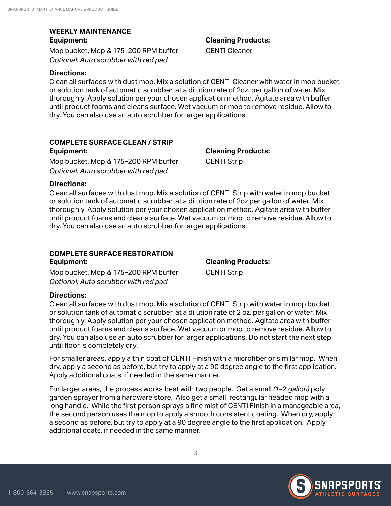#### **WEEKLY MAINTENANCE Equipment:**

Mop bucket, Mop & 175–200 RPM buffer *Optional: Auto scrubber with red pad*

#### **Directions:**

Clean all surfaces with dust mop. Mix a solution of CENTI Cleaner with water in mop bucket or solution tank of automatic scrubber, at a dilution rate of 2oz. per gallon of water. Mix thoroughly. Apply solution per your chosen application method. Agitate area with buffer until product foams and cleans surface. Wet vacuum or mop to remove residue. Allow to dry. You can also use an auto scrubber for larger applications.

#### **COMPLETE SURFACE CLEAN / STRIP**

**Equipment:**  Mop bucket, Mop & 175–200 RPM buffer *Optional: Auto scrubber with red pad*

**Cleaning Products:**  CENTI Strip

#### **Directions:**

Clean all surfaces with dust mop. Mix a solution of CENTI Strip with water in mop bucket or solution tank of automatic scrubber, at a dilution rate of 2oz per gallon of water. Mix thoroughly. Apply solution per your chosen application method. Agitate area with buffer until product foams and cleans surface. Wet vacuum or mop to remove residue. Allow to dry. You can also use an auto scrubber for larger applications.

## **COMPLETE SURFACE RESTORATION**

**Equipment:**  Mop bucket, Mop & 175–200 RPM buffer *Optional: Auto scrubber with red pad*

**Cleaning Products:**  CENTI Strip

## **Directions:**

Clean all surfaces with dust mop. Mix a solution of CENTI Strip with water in mop bucket or solution tank of automatic scrubber, at a dilution rate of 2 oz. per gallon of water. Mix thoroughly. Apply solution per your chosen application method. Agitate area with buffer until product foams and cleans surface. Wet vacuum or mop to remove residue. Allow to dry. You can also use an auto scrubber for larger applications. Do not start the next step until floor is completely dry.

For smaller areas, apply a thin coat of CENTI Finish with a microfiber or similar mop. When dry, apply a second as before, but try to apply at a 90 degree angle to the first application. Apply additional coats, if needed in the same manner.

For larger areas, the process works best with two people. Get a small *(1–2 gallon)* poly garden sprayer from a hardware store. Also get a small, rectangular headed mop with a long handle. While the first person sprays a fine mist of CENTI Finish in a manageable area, the second person uses the mop to apply a smooth consistent coating. When dry, apply a second as before, but try to apply at a 90 degree angle to the first application. Apply additional coats, if needed in the same manner.



**Cleaning Products:** 

CENTI Cleaner